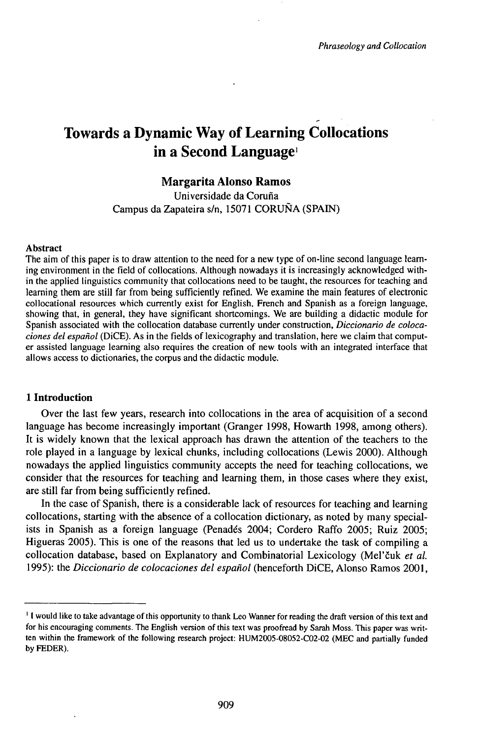# Towards a Dynamic Way of Learning Collocations in a Second Language<sup>1</sup>

# **Margarita Alonso Ramos**

Universidade da Coruña Campus da Zapateira s/n, 15071 CORUÑA (SPAIN)

#### Abstract

The aim of this paper is to draw attention to the need for a new type of on-line second language learning environment in the field of collocations. Although nowadays it is increasingly acknowledged within the applied linguistics community that collocations need to be taught, the resources for teaching and learning them are still far from being sufficiently refined. We examine the main features of electronic collocational resources which currently exist for English, French and Spanish as a foreign language, showing that, in general, they have significant shortcomings. We are building a didactic module for Spanish associated with the collocation database currently under construction, *Diccionario de colocaciones del español* (DiCE). As in the fields of lexicography and translation, here we claim that computer assisted language learning also requires the creation of new tools with an integrated interface that allows access to dictionaries, the corpus and the didactic module.

#### **1 Introduction**

Over the last few years, research into collocations in the area of acquisition of a second language has become increasingly important (Granger 1998, Howarth 1998, among others). It is widely known that the lexical approach has drawn the attention of the teachers to the role played in a language by lexical chunks, including collocations (Lewis 2000). Although nowadays the applied linguistics community accepts the need for teaching collocations, we consider that the resources for teaching and learning them, in those cases where they exist, are still far from being sufficiently refined.

In the case of Spanish, there is a considerable lack of resources for teaching and learning collocations, starting with the absence of a collocation dictionary, as noted by many specialists in Spanish as a foreign language (Penadés 2004; Cordero Raffo 2005; Ruiz 2005; Higueras 2005). This is one of the reasons that led us to undertake the task of compiling a collocation database, based on Explanatory and Combinatorial Lexicology (Meľčuk *et al.* 1995): the *Diccionario de colocaciones del español* (henceforth DiCE, Alonso Ramos 2001,

<sup>&</sup>lt;sup>1</sup> I would like to take advantage of this opportunity to thank Leo Wanner for reading the draft version of this text and for his encouraging comments. The English version of this text was proofread by Sarah Moss. This paper was written within the framework of the following research project: HUM2005-08052-C02-02 (MEC and partially funded by FEDER).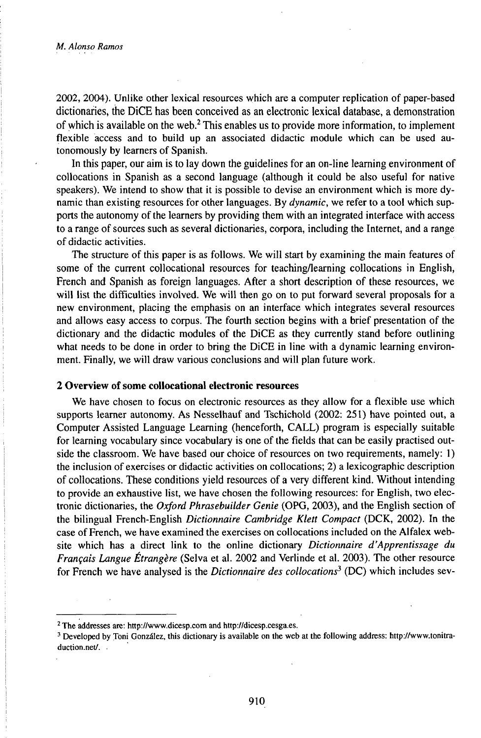2002, 2004). Unlike other lexical resources which are a computer replication of paper-based dictionaries, the DiCE has been conceived as an electronic lexical database, a demonstration of which is available on the web.<sup>2</sup> This enables us to provide more information, to implement flexible access and to build up an associated didactic module which can be used autonomously by learners of Spanish.

In this paper, our aim is to lay down the guidelines for an on-line learning environment of collocations in Spanish as a second language (although it could be also useful for native speakers). We intend to show that it is possible to devise an environment which is more dynamic than existing resources for other languages. By *dynamic,* we refer to a tool which supports the autonomy of the learners by providing them with an integrated interface with access to a range of sources such as several dictionaries, corpora, including the Internet, and a range of didactic activities.

The structure of this paper is as follows. We will start by examining the main features of some of the current collocational resources for teaching/learning collocations in English, French and Spanish as foreign languages. After a short description of these resources, we will list the difficulties involved. We will then go on to put forward several proposals for a new environment, placing the emphasis on an interface which integrates several resources and allows easy access to corpus. The fourth section begins with a brief presentation of the dictionary and the didactic modules of the DiCE as they currently stand before outlining what needs to be done in order to bring the DiCE in line with a dynamic learning environment. Finally, we will draw various conclusions and will plan future work.

#### **2 Overview ofsome collocational electronic resources**

We have chosen to focus on electronic resources as they allow for a flexible use which supports learner autonomy. As Nesselhauf and Tschichold (2002: 251) have pointed out, a Computer Assisted Language Learning (henceforth, CALL) program is especially suitable for learning vocabulary since vocabulary is one of the fields that can be easily practised outside the classroom. We have based our choice of resources on two requirements, namely: 1) the inclusion of exercises or didactic activities on collocations; 2) a lexicographic description of collocations. These conditions yield resources of a very different kind. Without intending to provide an exhaustive list, we have chosen the following resources: for English, two electronic dictionaries, the *Oxford Phrasebuilder Genie* (OPG, 2003), and the English section of the bilingual French-English *Dictionnaire Cambridge Klett Compact* (DCK, 2002). In the case of French, we have examined the exercises on collocations included on the Alfalex website which has a direct link to the online dictionary *Dictionnaire d'Apprentissage du Français Langue Étrangère* (Selva et al. 2002 and Verlinde et al. 2003). The other resource for French we have analysed is the *Dictionnaire des collocations<sup>1</sup>* (DC) which includes sev-

<sup>2</sup> The addresses are: http://www.dicesp.com and http://dicesp.cesga.es.

<sup>&</sup>lt;sup>3</sup> Developed by Toni González, this dictionary is available on the web at the following address: http://www.tonitraduction.net/...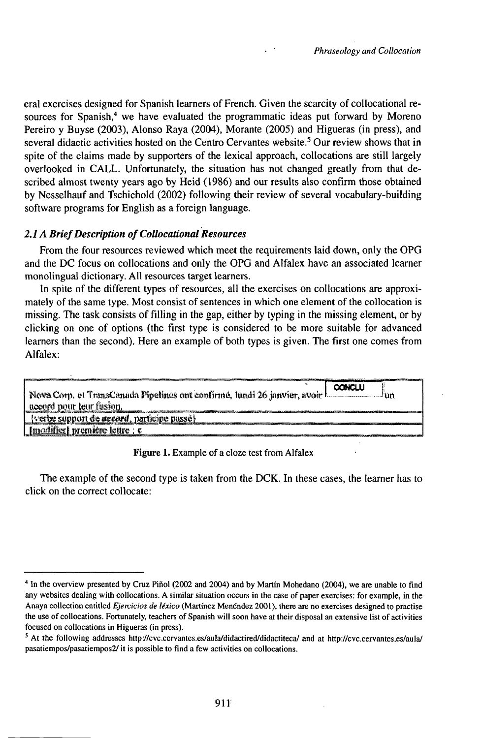eral exercises designed for Spanish learners of French. Given the scarcity of collocational resources for Spanish,<sup>4</sup> we have evaluated the programmatic ideas put forward by Moreno Pereiro y Buyse (2003), Alonso Raya (2004), Morante (2005) and Higueras (in press), and several didactic activities hosted on the Centro Cervantes website.<sup>5</sup> Our review shows that in spite of the claims made by supporters of the lexical approach, collocations are still largely overlooked in CALL. Unfortunately, the situation has not changed greatly from that described almost twenty years ago by Heid (1986) and our results also confirm those obtained by Nesselhauf and Tschichold (2002) following their review of several vocabulary-building software programs for English as a foreign language.

## 2.1 A Brief Description of Collocational Resources

From the four resources reviewed which meet the requirements laid down, only the OPG and the DC focus on collocations and only the OPG and Alfalex have an associated learner monolingual dictionary. All resources target learners.

In spite of the different types of resources, all the exercises on collocations are approximately of the same type. Most consist of sentences in which one element of the collocation is missing. The task consists of filling in the gap, either by typing in the missing element, or by clicking on one of options (the first type is considered to be more suitable for advanced learners than the second). Here an example of both types is given. The first one comes from Alfalex:

| CONCLU<br>Nova Corp. et TransCanada Pipelines ont confirmé, lundi 26 janvier, avoir L. Contract Lun. |
|------------------------------------------------------------------------------------------------------|
| accord pour leur fusion.                                                                             |
| <i>verbe support de accord</i> , participe passé}                                                    |
| Imodifier   première lettre : c                                                                      |
|                                                                                                      |

Figure 1. Example of a cloze test from Alfalex

The example of the second type is taken from the DCK. In these cases, the learner has to click on the correct collocate:

<sup>&</sup>lt;sup>4</sup> In the overview presented by Cruz Piñol (2002 and 2004) and by Martín Mohedano (2004), we are unable to find any websites dealing with collocations. A similar situation occurs in the case of paper exercises: for example, in the Anaya collection entitled Ejercicios de léxico (Martínez Menéndez 2001), there are no exercises designed to practise the use of collocations. Fortunately, teachers of Spanish will soon have at their disposal an extensive list of activities focused on collocations in Higueras (in press).

<sup>&</sup>lt;sup>5</sup> At the following addresses http://cvc.cervantes.es/aula/didactired/didactiteca/ and at http://cvc.cervantes.es/aula/ pasatiempos/pasatiempos2/ it is possible to find a few activities on collocations.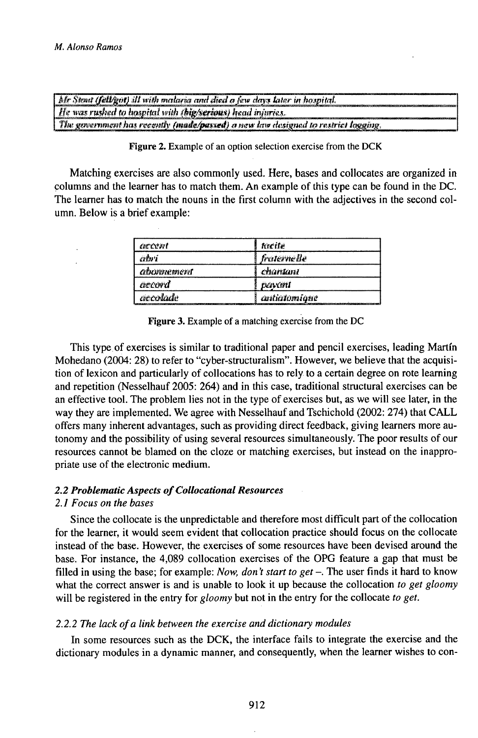| $\Delta t$ Steat (fell/got) ill with malaria and died a few days later in hospital. |
|-------------------------------------------------------------------------------------|
| $\mid$ He was rusked to hospital with (big/serious) head injuries.                  |
| . The government has recently (made/passed) a new law designed to restrict logging. |

Figure 2. Example of an option selection exercise from the DCK

Matching exercises are also commonly used. Here, bases and collocates are organized in columns and the learner has to match them. An example of this type can be found in the DC. The learner has to match the nouns in the first column with the adjectives in the second column. Below is a brief example:

| arcent     | <b>Rreife</b>   |
|------------|-----------------|
| ærtu s     | fraterne lle    |
| abonnement | chantant        |
| accord     | <b>EXAMPLES</b> |
| accolade   | antialamiaue    |

Figure 3. Example of a matching exercise from the DC

This type of exercises is similar to traditional paper and pencil exercises, leading Martín Mohedano (2004: 28) to refer to "cyber-structuralism". However, we believe that the acquisition of lexicon and particularly of collocations has to rely to a certain degree on rote learning and repetition (Nesselhauf 2005: 264) and in this case, traditional structural exercises can be an effective tool. The problem lies not in the type of exercises but, as we will see later, in the way they are implemented. We agree with Nesselhauf and Tschichold (2002: 274) that CALL offers many inherent advantages, such as providing direct feedback, giving learners more autonomy and the possibility of using several resources simultaneously. The poor results of our resources cannot be blamed on the cloze or matching exercises, but instead on the inappropriate use of the electronic medium.

## 2.2 Problematic Aspects of Collocational Resources

## 2.1 Focus on the bases

Since the collocate is the unpredictable and therefore most difficult part of the collocation for the learner, it would seem evident that collocation practice should focus on the collocate instead of the base. However, the exercises of some resources have been devised around the base. For instance, the 4,089 collocation exercises of the OPG feature a gap that must be filled in using the base; for example: Now, don't start to get  $-$ . The user finds it hard to know what the correct answer is and is unable to look it up because the collocation to get gloomy will be registered in the entry for *gloomy* but not in the entry for the collocate to get.

## 2.2.2 The lack of a link between the exercise and dictionary modules

In some resources such as the DCK, the interface fails to integrate the exercise and the dictionary modules in a dynamic manner, and consequently, when the learner wishes to con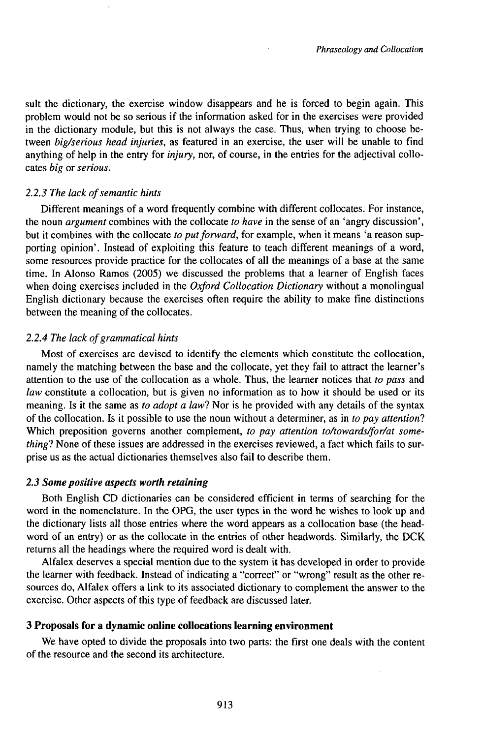sult the dictionary, the exercise window disappears and he is forced to begin again. This problem would not be so serious if the information asked for in the exercises were provided in the dictionary module, but this is not always the case. Thus, when trying to choose between *big/serious head injuries,* as featured in an exercise, the user will be unable to find anything of help in the entry for *injury,* nor, of course, in the entries for the adjectival collocates *big* or *serious.*

#### *2.2.3 The lack ofsemantic hints*

Different meanings of a word frequently combine with different collocates. For instance, the noun *argument* combines with the collocate *to have* in the sense of an 'angry discussion', but it combines with the collocate *to put forward*, for example, when it means 'a reason supporting opinion'. Instead of exploiting this feature to teach different meanings of a word, some resources provide practice for the collocates of all the meanings of a base at the same time. In Alonso Ramos (2005) we discussed the problems that a learner of English faces when doing exercises included in the *Oxford Collocation Dictionary* without a monolingual English dictionary because the exercises often require the ability to make fine distinctions between the meaning of the collocates.

#### *2.2.4 The lack ofgrammatical hints*

Most of exercises are devised to identify the elements which constitute the collocation, namely the matching between the base and the collocate, yet they fail to attract the learner's attention to the use of the collocation as a whole. Thus, the learner notices that *to pass* and *law* constitute a collocation, but is given no information as to how it should be used or its meaning. Is it the same as *to adopt a law?* Nor is he provided with any details of the syntax of the collocation. Is it possible to use the noun without a determiner, as in *to pay attention?* Which preposition governs another complement, *to pay attention to/towards/for/at something?* None of these issues are addressed in the exercises reviewed, a fact which fails to surprise us as the actual dictionaries themselves also fail to describe them.

#### *2.3 Somepositive aspects worth retaining*

Both English CD dictionaries can be considered efficient in terms of searching for the word in the nomenclature. In the OPG, the user types in the word he wishes to look up and the dictionary lists all those entries where the word appears as a collocation base (the headword of an entry) or as the collocate in the entries of other headwords. Similarly, the DCK returns all the headings where the required word is dealt with.

Alfalex deserves a special mention due to the system it has developed in order to provide the learner with feedback. Instead of indicating a "correct" or "wrong" result as the other resources do, Alfalex offers a link to its associated dictionary to complement the answer to the exercise. Other aspects of this type of feedback are discussed later.

#### **3 Proposals for a dynamic online collocations learning environment**

We have opted to divide the proposals into two parts: the first one deals with the content of the resource and the second its architecture.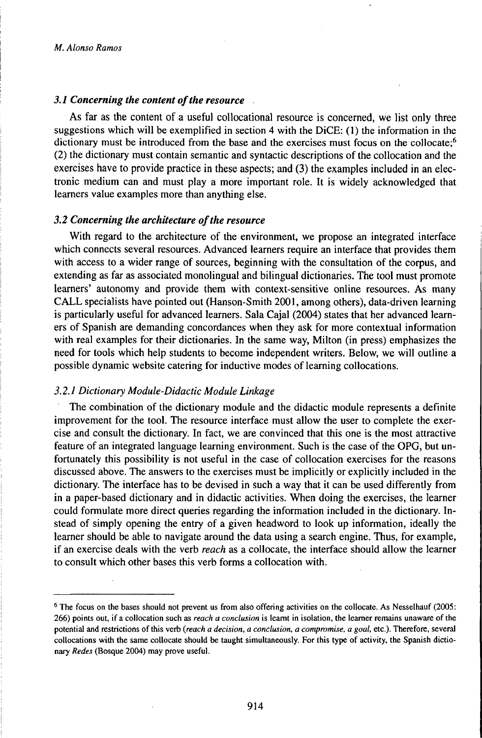## *3.1 Concerning the content ofthe resource*

As far as the content of a useful collocational resource is concerned, we list only three suggestions which will be exemplified in section 4 with the DiCE: (1) the information in the dictionary must be introduced from the base and the exercises must focus on the collocate;<sup>6</sup> (2) the dictionary must contain semantic and syntactic descriptions of the collocation and the exercises have to provide practice in these aspects; and (3) the examples included in an electronic medium can and must play a more important role. It is widely acknowledged that learners value examples more than anything else.

#### *3.2 Concerning the architecture ofthe resource*

With regard to the architecture of the environment, we propose an integrated interface which connects several resources. Advanced learners require an interface that provides them with access to a wider range of sources, beginning with the consultation of the corpus, and extending as far as associated monolingual and bilingual dictionaries. The tool must promote learners' autonomy and provide them with context-sensitive online resources. As many CALL specialists have pointed out (Hanson-Smith 2001, among others), data-driven learning is particularly useful for advanced learners. Sala Cajal (2004) states that her advanced learners of Spanish are demanding concordances when they ask for more contextual information with real examples for their dictionaries. In the same way, Milton (in press) emphasizes the need for tools which help students to become independent writers. Below, we will outline a possible dynamic website catering for inductive modes of learning collocations.

## *3.2.1 Dictionary Module-Didactic Module Linkage*

The combination of the dictionary module and the didactic module represents a definite improvement for the tool. The resource interface must allow the user to complete the exercise and consult the dictionary. In fact, we are convinced that this one is the most attractive feature of an integrated language learning environment. Such is the case of the OPG, but unfortunately this possibility is not useful in the case of collocation exercises for the reasons discussed above. The answers to the exercises must be implicitly or explicitly included in the dictionary. The interface has to be devised in such a way that it can be used differently from in a paper-based dictionary and in didactic activities. When doing the exercises, the learner could formulate more direct queries regarding the information included in the dictionary. Instead of simply opening the entry of a given headword to look up information, ideally the learner should be able to navigate around the data using a search engine. Thus, for example, if an exercise deals with the verb *reach* as a collocate, the interface should allow the learner to consult which other bases this verb forms a collocation with.

<sup>6</sup> The focus on the bases should not prevent us from also offering activities on the collocate. As Nesselhauf (2005: 266) points out, if a collocation such as *reach a conclusion* is learnt in isolation, the learner remains unaware of the potential and restrictions of this verb *(reach a decision, a conclusion, a compromise, a goal,* etc.). Therefore, several collocations with the same collocate should be taught simultaneously. For this type of activity, the Spanish dictionary *Redes* (Bosque 2004) may prove useful.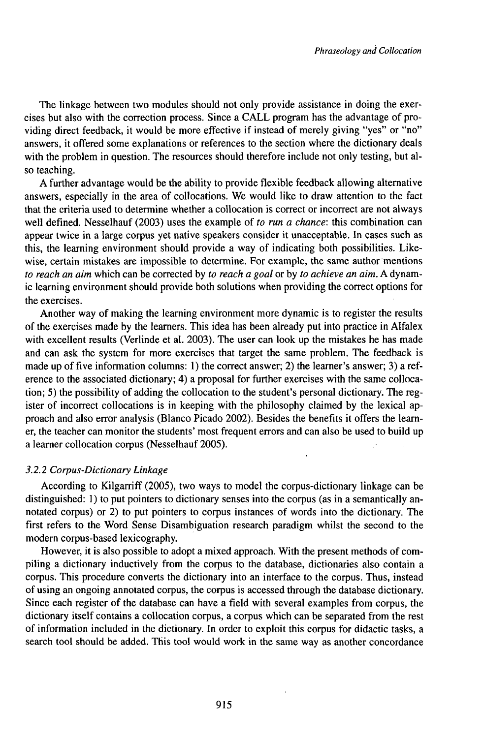The linkage between two modules should not only provide assistance in doing the exercises but also with the correction process. Since a CALL program has the advantage of providing direct feedback, it would be more effective if instead of merely giving "yes" or "no" answers, it offered some explanations or references to the section where the dictionary deals with the problem in question. The resources should therefore include not only testing, but also teaching.

A further advantage would be the ability to provide flexible feedback allowing alternative answers, especially in the area of collocations. We would like to draw attention to the fact that the criteria used to determine whether a collocation is correct or incorrect are not always well defined. Nesselhauf (2003) uses the example of *to run a chance:* this combination can appear twice in a large corpus yet native speakers consider it unacceptable. In cases such as this, the learning environment should provide a way of indicating both possibilities. Likewise, certain mistakes are impossible to determine. For example, the same author mentions *to reach an aim* which can be corrected by *to reach a goal* or by *to achieve an aim.* A dynamic learning environment should provide both solutions when providing the correct options for the exercises.

Another way of making the learning environment more dynamic is to register the results of the exercises made by the learners. This idea has been already put into practice in Alfalex with excellent results (Verlinde et al. 2003). The user can look up the mistakes he has made and can ask the system for more exercises that target the same problem. The feedback is made up of five information columns: 1) the correct answer; 2) the learner's answer; 3) a reference to the associated dictionary; 4) a proposal for further exercises with the same collocation; 5) the possibility of adding the collocation to the student's personal dictionary. The register of incorrect collocations is in keeping with the philosophy claimed by the lexical approach and also error analysis (Blanco Picado 2002). Besides the benefits it offers the learner, the teacher can monitor the students' most frequent errors and can also be used to build up a learner collocation corpus (Nesselhauf 2005).

#### *3.2.2 Corpus-DictionaryLinkage*

According to Kilgarriff (2005), two ways to model the corpus-dictionary linkage can be distinguished: 1) to put pointers to dictionary senses into the corpus (as in a semantically annotated corpus) or 2) to put pointers to corpus instances of words into the dictionary. The first refers to the Word Sense Disambiguation research paradigm whilst the second to the modern corpus-based lexicography.

However, it is also possible to adopt a mixed approach. With the present methods of compiling a dictionary inductively from the corpus to the database, dictionaries also contain a corpus. This procedure converts the dictionary into an interface to the corpus. Thus, instead ofusing an ongoing annotated corpus, the corpus is accessed through the database dictionary. Since each register of the database can have a field with several examples from corpus, the dictionary itself contains a collocation corpus, a corpus which can be separated from the rest of information included in the dictionary. In order to exploit this corpus for didactic tasks, a search tool should be added. This tool would work in the same way as another concordance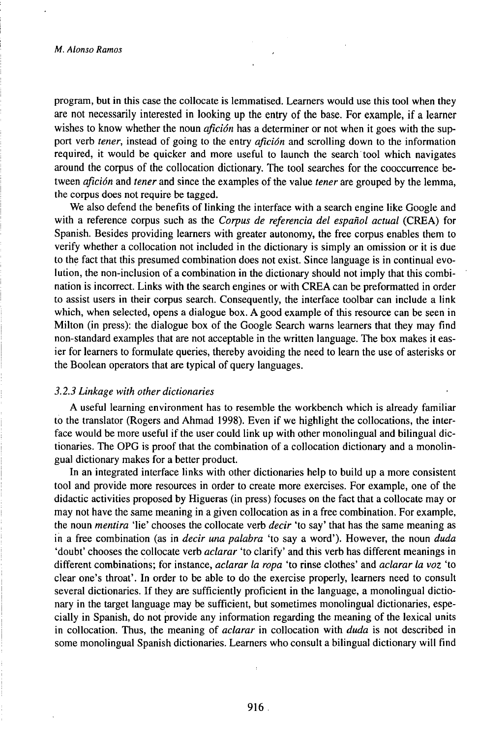program, but in this case the collocate is lemmatised. Learners would use this tool when they are not necessarily interested in looking up the entry of the base. For example, if a learner wishes to know whether the noun *afición* has a determiner or not when it goes with the support verb *tener,* instead of going to the entry *afición* and scrolling down to the information required, it would be quicker and more useful to launch the search tool which navigates around the corpus of the collocation dictionary. The tool searches for the cooccurrence between *afición* and *tener* and since the examples of the value *tener* are grouped by the lemma, the corpus does not require be tagged.

We also defend the benefits of linking the interface with a search engine like Google and with a reference corpus such as the *Corpus de referencia del español actual* (CREA) for Spanish. Besides providing learners with greater autonomy, the free corpus enables them to verify whether a collocation not included in the dictionary is simply an omission or it is due to the fact that this presumed combination does not exist. Since language is in continual evolution, the non-inclusion of a combination in the dictionary should not imply that this combination is incorrect. Links with the search engines or with CREA can be preformatted in order to assist users in their corpus search. Consequently, the interface toolbar can include a link which, when selected, opens a dialogue box. A good example of this resource can be seen in Milton (in press): the dialogue box of the Google Search warns learners that they may find non-standard examples that are not acceptable in the written language. The box makes it easier for learners to formulate queries, thereby avoiding the need to learn the use of asterisks or the Boolean operators that are typical of query languages.

## *3.2.3 Linkage with other dictionaries*

A useful learning environment has to resemble the workbench which is already familiar to the translator (Rogers and Ahmad 1998). Even if we highlight the collocations, the interface would be more useful if the user could link up with other monolingual and bilingual dictionaries. The OPG is proof that the combination of a collocation dictionary and a monolingual dictionary makes for a better product.

In an integrated interface links with other dictionaries help to build up a more consistent tool and provide more resources in order to create more exercises. For example, one of the didactic activities proposed by Higueras (in press) focuses on the fact that a collocate may or may not have the same meaning in a given collocation as in a free combination. For example, the noun *mentira* 'lie' chooses the collocate verb *decir* 'to say' that has the same meaning as in a free combination (as in *decir una palabra* 'to say a word'). However, the noun *duda* 'doubt' chooses the collocate verb *aclarar* 'to clarify' and this verb has different meanings in different combinations; for instance, *aclarar la ropa* 'to rinse clothes' and *aclarar la voz* 'to clear one's throat'. In order to be able to do the exercise properly, learners need to consult several dictionaries. If they are sufficiently proficient in the language, a monolingual dictionary in the target language may be sufficient, but sometimes monolingual dictionaries, especially in Spanish, do not provide any information regarding the meaning of the lexical units in collocation. Thus, the meaning of *aclarar* in collocation with *duda* is not described in some monolingual Spanish dictionaries. Learners who consult a bilingual dictionary will find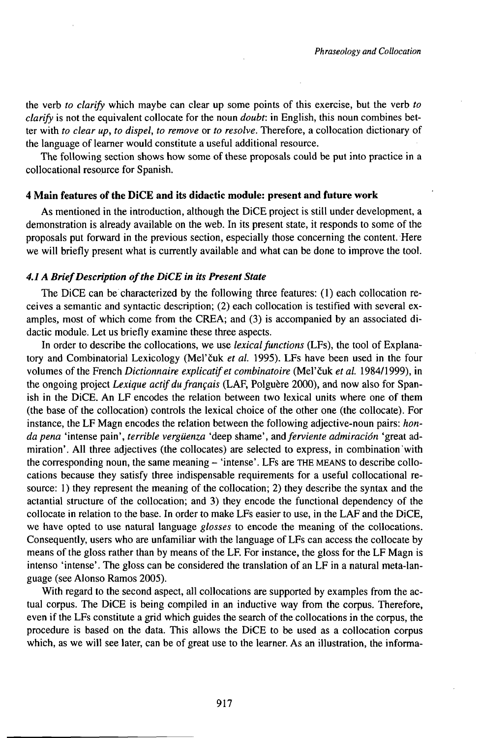the verb *to clarify* which maybe can clear up some points of this exercise, but the verb *to clarify* is not the equivalent collocate for the noun *doubt:* in English, this noun combines better with *to clear up, to dispel, to remove* or *to resolve.* Therefore, a collocation dictionary of the language of learner would constitute a useful additional resource.

The following section shows how some of these proposals could be put into practice in a collocational resource for Spanish.

## **4 Main features of the DiCE and its didactic module: present and future work**

As mentioned in the introduction, although the DiCE project is still under development, a demonstration is already available on the web. In its present state, it responds to some of the proposals put forward in the previous section, especially those concerning the content. Here we will briefly present what is currently available and what can be done to improve the tool.

#### *4.1 A BriefDescription ofthe DiCE in its Present State*

The DiCE can be characterized by the following three features:  $(1)$  each collocation receives a semantic and syntactic description; (2) each collocation is testified with several examples, most of which come from the CREA; and (3) is accompanied by an associated didactic module. Let us briefly examine these three aspects.

In order to describe the collocations, we use *lexical functions* (LFs), the tool of Explanatory and Combinatorial Lexicology (Meľčuk *et al.* 1995). LFs have been used in the four volumes of the French *Dictionnaire explicatifet combinatoire* (Meľčuk *et al.* 1984/1999), in the ongoing project *Lexique actif du français* (LAF, Polguère 2000), and now also for Spanish in the DiCE. An LF encodes the relation between two lexical units where one of them (the base of the collocation) controls the lexical choice of the other one (the collocate). For instance, the LF Magn encodes the relation between the following adjective-noun pairs: *hondapena* 'intense pain', *terrible vergüenza* 'deep shame', *andferviente admiración* 'great admiration'. All three adjectives (the collocates) are selected to express, in combination'with the corresponding noun, the same meaning - 'intense'. LFs are THE MEANS to describe collocations because they satisfy three indispensable requirements for a useful collocational resource: 1) they represent the meaning of the collocation; 2) they describe the syntax and the actantial structure of the collocation; and 3) they encode the functional dependency of the collocate in relation to the base. In order to make LFs easier to use, in the LAF and the DiCE, we have opted to use natural language *glosses* to encode the meaning of the collocations. Consequently, users who are unfamiliar with the language of LFs can access the collocate by means ofthe gloss rather than by means of the LF. For instance, the gloss for the LF Magn is intenso 'intense'. The gloss can be considered the translation of an LF in a natural meta-language (see Alonso Ramos 2005).

With regard to the second aspect, all collocations are supported by examples from the actual corpus. The DiCE is being compiled in an inductive way from the corpus. Therefore, even if the LFs constitute a grid which guides the search of the collocations in the corpus, the procedure is based on the data. This allows the DiCE to be used as a collocation corpus which, as we will see later, can be of great use to the learner. As an illustration, the informa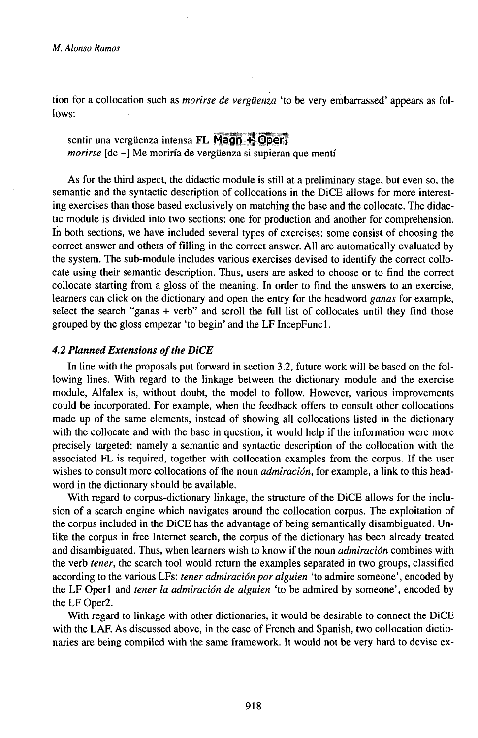tion for a collocation such as *morirse de vergüenza* 'to be very embarrassed' appears as follows:

# sentir una vergüenza intensa FL Magn  $\div$  Oper<sub>1</sub> *morirse* [de ~] Me moriría de vergüenza si supieran que mentí

As for the third aspect, the didactic module is still at a preliminary stage, but even so, the semantic and the syntactic description of collocations in the DiCE allows for more interesting exercises than those based exclusively on matching the base and the collocate. The didactic module is divided into two sections: one for production and another for comprehension. In both sections, we have included several types of exercises: some consist of choosing the correct answer and others of filling in the correct answer. All are automatically evaluated by the system. The sub-module includes various exercises devised to identify the correct collocate using their semantic description. Thus, users are asked to choose or to find the correct collocate starting from a gloss of the meaning. In order to find the answers to an exercise, learners can click on the dictionary and open the entry for the headword *ganas* for example, select the search "ganas + verb" and scroll the full list of collocates until they find those grouped by the gloss empezar 'to begin' and the LF IncepFuncl.

## *4.2 Phmned Extensions ofthe DiCE*

In line with the proposals put forward in section 3.2, future work will be based on the following lines. With regard to the linkage between the dictionary module and the exercise module, Alfalex is, without doubt, the model to follow. However, various improvements could be incorporated. For example, when the feedback offers to consult other collocations made up of the same elements, instead of showing all collocations listed in the dictionary with the collocate and with the base in question, it would help if the information were more precisely targeted: namely a semantic and syntactic description of the collocation with the associated FL is required, together with collocation examples from the corpus. If the user wishes to consult more collocations of the noun *admiración,* for example, a link to this headword in the dictionary should be available.

With regard to corpus-dictionary linkage, the structure of the DiCE allows for the inclusion of <sup>a</sup> search engine which navigates arouńd the collocation corpus. The exploitation of the corpus included in the DiCE has the advantage of being semantically disambiguated. Unlike the corpus in free Internet search, the corpus of the dictionary has been already treated and disambiguated. Thus, when learners wish to know if the noun *admiración* combines with the verb *tener,* the search tool would return the examples separated in two groups, classified according to the various LFs: *tener admiración por alguien* 'to admire someone', encoded by the LF Operl and *tener la admiración de alguien* 'to be admired by someone', encoded by the LF Oper2.

With regard to linkage with other dictionaries, it would be desirable to connect the DiCE with the LAF. As discussed above, in the case of French and Spanish, two collocation dictionaries are being compiled with the same framework. It would not be very hard to devise ex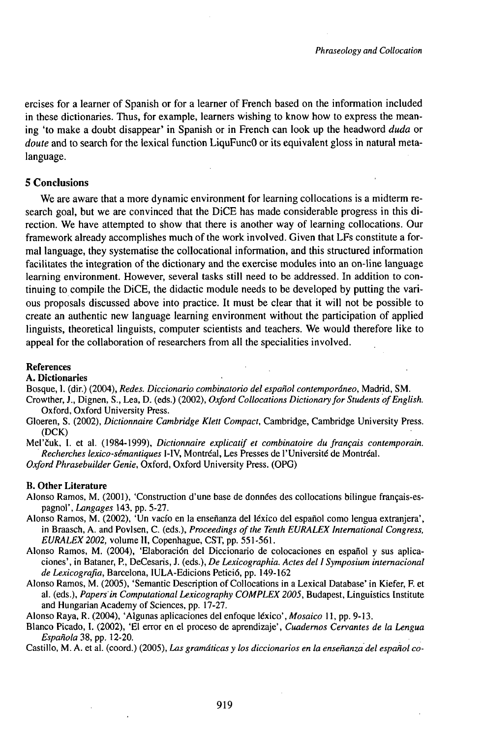ercises for a learner of Spanish or for a learner of French based on the information included in these dictionaries. Thus, for example, learners wishing to know how to express the meaning 'to make a doubt disappear' in Spanish or in French can look up the headword *duda* or *doute* and to search for the lexical function LiquFuncO or its equivalent gloss in natural metalanguage.

#### **5 Conclusions**

We are aware that a more dynamic environment for learning collocations is a midterm research goal, but we are convinced that the DiCE has made considerable progress in this direction. We have attempted to show that there is another way of learning collocations. Our framework already accomplishes much of the work involved. Given that LFs constitute a formal language, they systematise the collocational information, and this structured information facilitates the integration of the dictionary and the exercise modules into an on-line language learning environment. However, several tasks still need to be addressed. In addition to continuing to compile the DiCE, the didactic module needs to be developed by putting the various proposals discussed above into practice. It must be clear that it will not be possible to create an authentic new language learning environment without the participation of applied linguists, theoretical linguists, computer scientists and teachers. We would therefore like to appeal for the collaboration of researchers from all the specialities involved.

#### References

#### A. **Dictionaries**

Bosque, 1. (dir.) (2004), *Redes. Diccionario combinatorio del español contemporáneo,* Madrid, SM.

- Crowther, J., Dignen, S., Lea, D. (eds.) (2002), *Oxford Collocations Dictionaryfor Students ofEnglish.* Oxford, Oxford University Press.
- Gloeren, S. (2002), *Dictionnaire Cambridge Klett Compact,* Cambridge, Cambridge University Press. (DCK)
- Meľčuk, I. et al. (1984-1999), *Dictionnaire explicatifet combinatoire dufrançais contemporain. Recherches lexico-sémantiques* I-IV, Montréal, Les Presses de l'Université de Montréal.

*Oxford Phrasebuilder Genie,* Oxford, Oxford University Press. (OPG)

#### **B. Other Literature**

- Alonso Ramos, M. (2001), 'Construction d'une base de données des collocations bilingue français-espagnol', *Langages* 143, pp. 5-27.
- Alonso Ramos, M. (2002), 'Un vacío en la enseñanza del léxico del español como lengua extranjera', in Braasch, A. and Povlsen, C. (eds.), *Proceedings of the Tenth EURALEX International Congress*, *EURALEX2002,* volume II, Copenhague, CST, pp. 551-561.
- Alonso Ramos, M. (2004), 'Elaboración del Diccionario de colocaciones en español y sus aplicaciones', in Bataner, P., DeCesaris, J. (eds.), *De Lexicographia. Actes dellSymposium internacional de Lexicografia,* Barcelona, IULA-Edicions Petició, pp. 149-162
- Alonso Ramos, M. (2005), 'Semantic Description of Collocations in a Lexical Database' in Kiefer, F. et al. (eds.), *Papers'in ComputationalLexicography COMPLEX2005,* Budapest, Linguistics Institute and Hungarian Academy of Sciences, pp. 17-27.

Alonso Raya, R. (2004), 'Algunas aplicaciones del enfoque léxico', Mosaico 11, pp. 9-13.

Blanco Picado, I. (2002), 'El error en el proceso de aprendizaje', *Cuadernos Cervantes de la Lengua Espanola3S,pp.\2-20.*

Castillo, M. A. et al. (coord.) (2005), *Las gramáticas y los diccionarios en la enseñanza del español co-*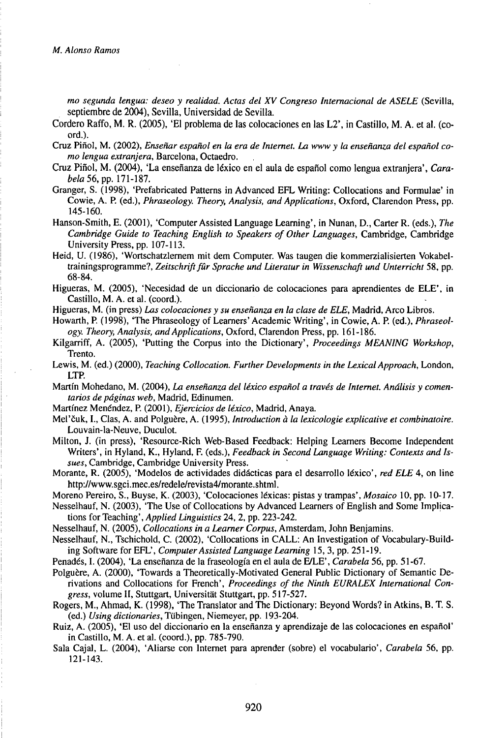*mo segunda lengua: deseo y realidad. Actas del XV Congreso Internacional de ASELE* (Sevilla, septiembre de 2004), Sevilla, Universidad de Sevilla.

- Cordero Raffo, M. R. (2005), 'El problema de las colocaciones en las L2', in Castillo, M. A. et al. (coord.).
- Cruz Piflol, M. (2002), *Enseñar español en la era de Internet. La www y la enseñanza del español como lengua extranjera,* Barcelona, Octaedro.
- rio tengua extranjera, bateciona, octacio.<br>Cruz Piñol, M. (2004), 'La enseñanza de léxico en el aula de español como lengua extranjera', *Cara-*<br>Genera 6, (1998), 'Probriected Petterns in Advanced EEL Weiting: Cellecations
- Granger, S. (1998), 'Prefabricated Patterns in Advanced EFL Writing: Collocations and Formulae' in Cowie, A. P. (ed.), *Phraseology. Theory, Analysis, and Applications,* Oxford, Clarendon Press, pp. 145-160.
- Hanson-Smith, E. (2001), 'Computer Assisted Language Learning', in Nunan, D., Carter R. (eds.), The *Cambridge Guide to Teaching English to Speakers of Other Languages,* Cambridge, Cambridge University Press, pp. 107-113.
- Heid, U. (1986), 'Wortschatzlernem mit dem Computer. Was taugen die kommerzialisierten Vokabeltrainingsprogramme?, *Zeitschriftfûr Sprache und Literatur in Wissenschaft und Unterricht* 58, pp. 68-84.
- Higueras, M. (2005), 'Necesidad de un diccionario de colocaciones para aprendientes de ELE', in Castillo, M. A. et al. (coord.).
- Higueras, M. (in press) *Las colocaciones y su enseñanza en la clase de ELE,* Madrid, Arco Libros.
- Howarth, P. (1998), 'The Phraseology of Learners' Academic Writing', in Cowie, A. P. (ed.), *Phraseology. Theory, Analysis, andApplications,* Oxford, Clarendon Press, pp. 161-186.
- Kilgarriff, A. (2005), 'Putting the Corpus into the Dictionary', *Proceedings MEANING Workshop,* Trento.
- Lewis, M. (ed.) (2000), *Teaching Collocation. Further Developments in the Lexical Approach*, London, LTP.
- Martin Mohedano, M. (2004), *La enseñanza del léxico español a través de Internet. Análisis y comentarios de páginas web,* Madrid, Edinumen.
- Martínez Menéndez, P. (2001), *Ejercicios de léxico,* Madrid, Anaya.
- Meľčuk, I., Clas, A. and Polguère, A. (1995), *Introduction à la lexicologie explicative et combinatoire.* Louvain-la-Neuve, Duculot.
- Milton, J. (in press), 'Resource-Rich Web-Based Feedback: Helping Learners Become Independent Writers', in Hyland, K., Hyland, F. (eds.), *Feedback in Second Language Writing: Contexts and Issues,* Cambridge, Cambridge University Press.
- Morante, R. (2005), 'Modelos de actividades didácticas para el desarrollo léxico', *red ELE* 4, on line http://www.sgci.mec.es/redele/revista4/morante.shtml.
- Moreno Pereiro, S., Buyse, K. (2003), 'Colocaciones léxicas: pistas y trampas', *Mosaico* 10, pp. 10-17.
- Nesselhauf, N. (2003), 'The Use of Collocations by Advanced Learners of English and Some Implications for *7eaching\Applied Linguistics* 24, 2, pp. 223-242.
- Nesselhauf, N. (2005), *Collocations in a Learner Corpus,* Amsterdam, John Benjamins.
- Nesselhauf, N., Tschichold, C. (2002), 'Collocations in CALL: An Investigation of Vocabulary-Building Software for EFL', *Computer Assisted Language Learning* 15, 3, pp. 251-19.
- Penadés, I. (2004), 'La enseñanza de la fraseología en el aula de FVLE', *Carabela* 56, pp. 51-67.
- Polguère, A. (2000), 'Towards a Theoretically-Motivated General Public Dictionary of Semantic Derivations and Collocations for French', *Proceedings ofthe Ninth EURALEX International Congress,* volume II, Stuttgart, Universität Stuttgart, pp. 517-527.
- Rogers, M., Ahmad, K. (1998), 'The Translator and The Dictionary: Beyond Words? in Atkins, B. T. S. (ed.) *Using dictionaries,* Tübingen, Niemeyer, pp. 193-204.
- Ruiz, A. (2005), 'El uso del diccionario en la enseñanza y aprendizaje de las colocaciones en español' in Castillo, M. A. et al. (coord.), pp. 785-790.
- Sala Cajal, L. (2004), 'Aliarse con Internet para aprender (sobre) el vocabulario', *Carabela* 56, pp. 121-143.